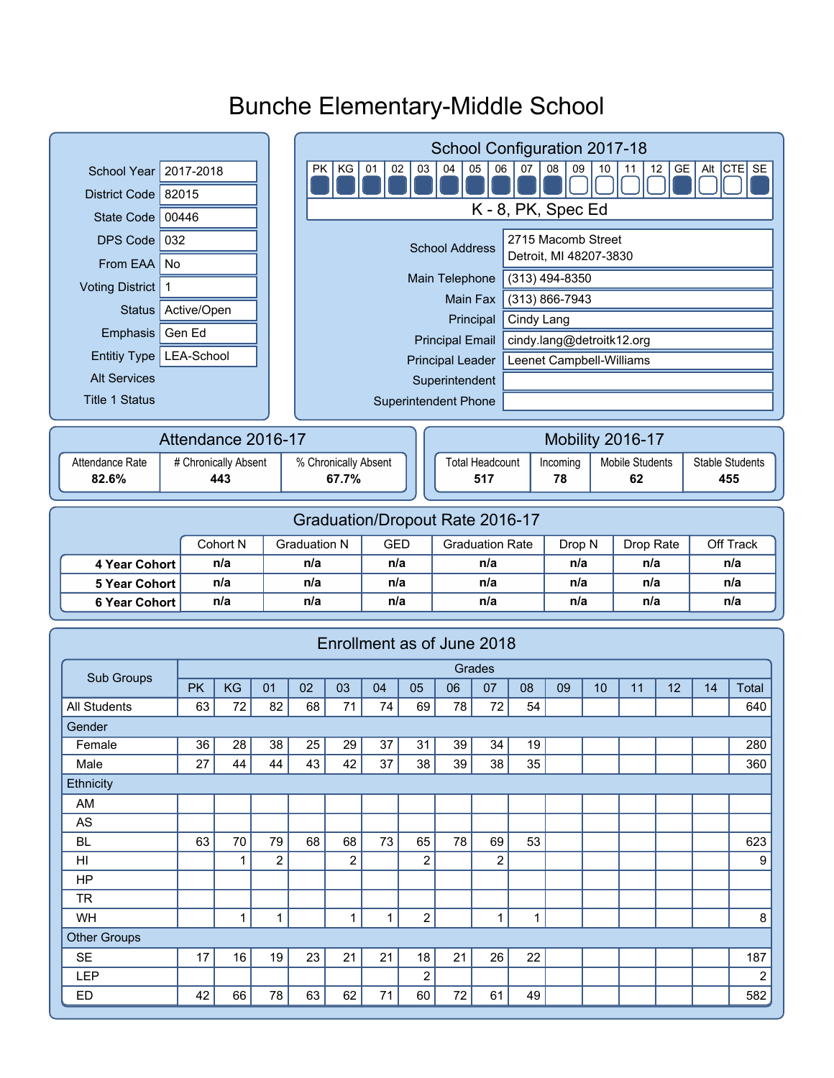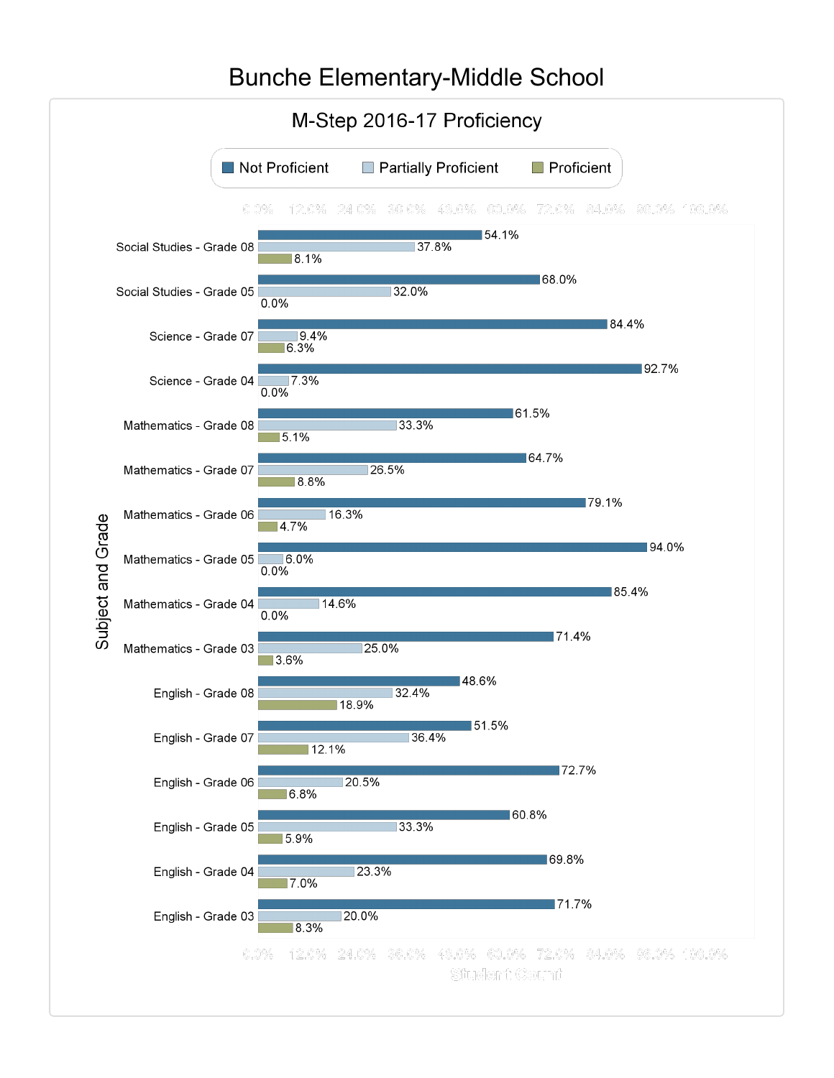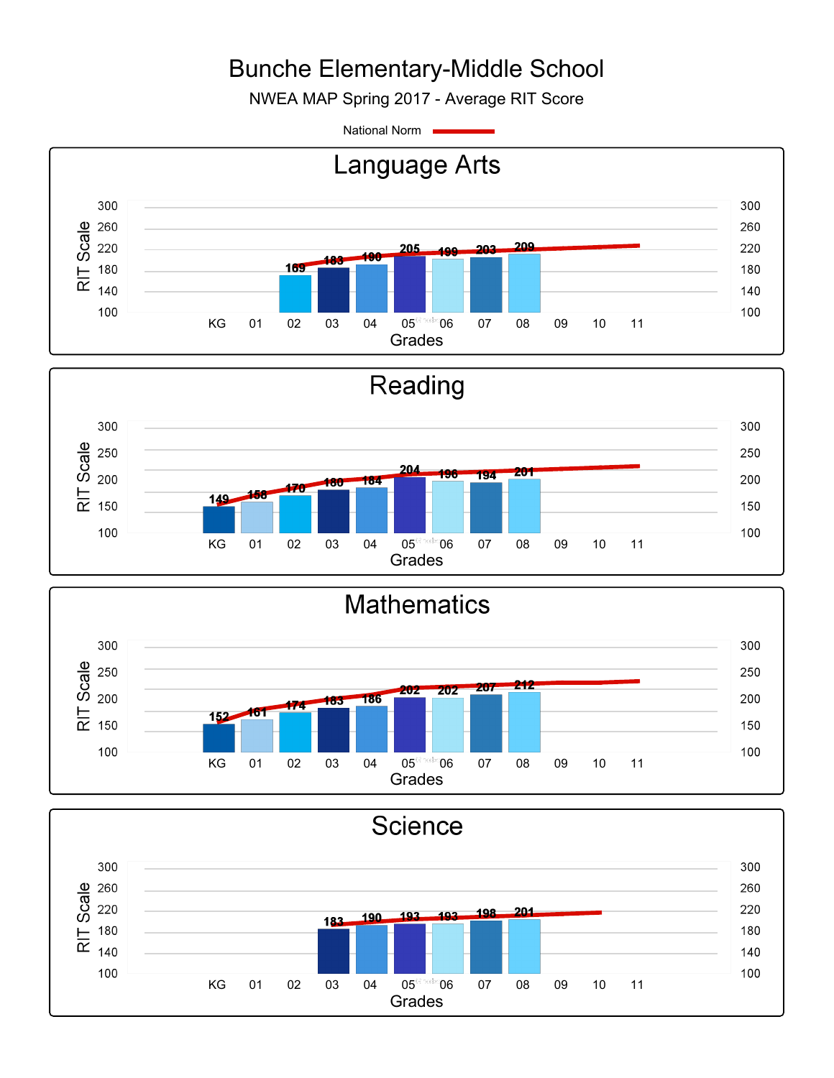NWEA MAP Spring 2017 - Average RIT Score

National Norm